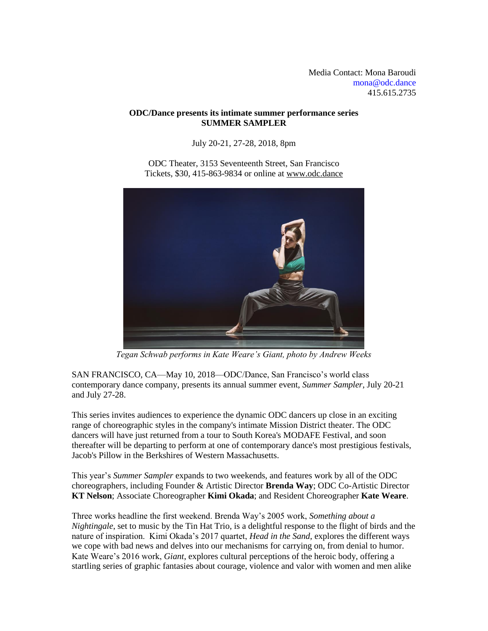Media Contact: Mona Baroudi [mona@odc.dance](mailto:mona@odc.dance) [415.615.2735](about:blank)

## **ODC/Dance presents its intimate summer performance series SUMMER SAMPLER**

July 20-21, 27-28, 2018, 8pm

ODC Theater, 3153 Seventeenth Street, San Francisco Tickets, \$30, 415-863-9834 or online at [www.odc.dance](http://www.odcdance.org/)



*Tegan Schwab performs in Kate Weare's Giant, photo by Andrew Weeks*

SAN FRANCISCO, CA—May 10, 2018—ODC/Dance, San Francisco's world class contemporary dance company, presents its annual summer event, *Summer Sampler*, July 20-21 and July 27-28.

This series invites audiences to experience the dynamic ODC dancers up close in an exciting range of choreographic styles in the company's intimate Mission District theater. The ODC dancers will have just returned from a tour to South Korea's MODAFE Festival, and soon thereafter will be departing to perform at one of contemporary dance's most prestigious festivals, Jacob's Pillow in the Berkshires of Western Massachusetts.

This year's *Summer Sampler* expands to two weekends, and features work by all of the ODC choreographers, including Founder & Artistic Director **Brenda Way**; ODC Co-Artistic Director **KT Nelson**; Associate Choreographer **Kimi Okada**; and Resident Choreographer **Kate Weare**.

Three works headline the first weekend. Brenda Way's 2005 work, *Something about a Nightingale*, set to music by the Tin Hat Trio, is a delightful response to the flight of birds and the nature of inspiration. Kimi Okada's 2017 quartet, *Head in the Sand*, explores the different ways we cope with bad news and delves into our mechanisms for carrying on, from denial to humor. Kate Weare's 2016 work, *Giant*, explores cultural perceptions of the heroic body, offering a startling series of graphic fantasies about courage, violence and valor with women and men alike